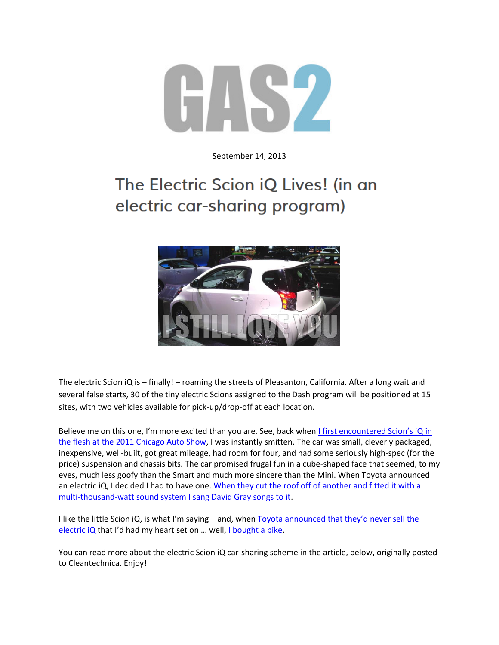

September 14, 2013

## The Electric Scion iQ Lives! (in an electric car-sharing program)



The electric Scion iQ is – finally! – roaming the streets of Pleasanton, California. After a long wait and several false starts, 30 of the tiny electric Scions assigned to the Dash program will be positioned at 15 sites, with two vehicles available for pick-up/drop-off at each location.

Believe me on this one, I'm more excited than you are. See, back when I first encountered Scion's iQ in [the flesh at the 2011 Chicago Auto Show,](http://gas2.org/2011/02/12/scions-iq-is-bigger-on-the-inside/) I was instantly smitten. The car was small, cleverly packaged, inexpensive, well-built, got great mileage, had room for four, and had some seriously high-spec (for the price) suspension and chassis bits. The car promised frugal fun in a cube-shaped face that seemed, to my eyes, much less goofy than the Smart and much more sincere than the Mini. When Toyota announced an electric iQ, I decided I had to have one. When they cut the roof off of another and fitted it with a [multi-thousand-watt sound system I sang David Gray songs to it.](http://gas2.org/2012/02/11/my-new-favorite-concept-car-scion-pit-boss-iq/)

I like the little Scion iQ, is what I'm saying - and, when Toyota announced that they'd never sell the [electric iQ](http://gas2.org/2012/10/18/scion-iq-ev-will-be-available-for-college-and-car-sharing-usage-only/) that I'd had my heart set on ... well, [I bought a bike.](http://gas2.org/2012/09/09/i-bought-a-thing-1982-honda-cx500/)

You can read more about the electric Scion iQ car-sharing scheme in the article, below, originally posted to Cleantechnica. Enjoy!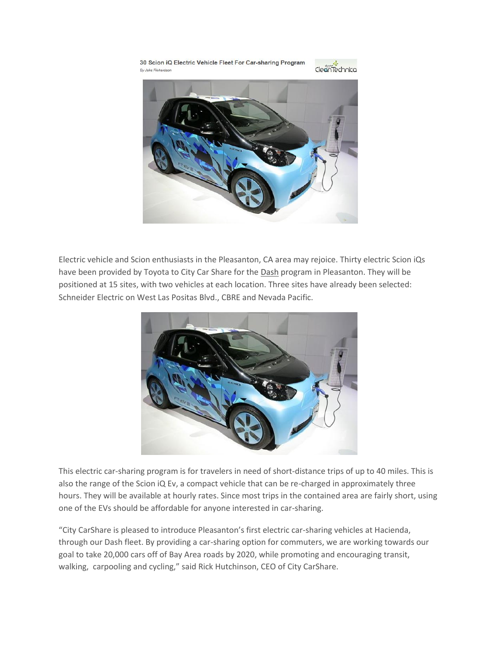

Electric vehicle and Scion enthusiasts in the Pleasanton, CA area may rejoice. Thirty electric Scion iQs have been provided by Toyota to City Car Share for the [Dash](https://www.citycarshare.org/Dash/) program in Pleasanton. They will be positioned at 15 sites, with two vehicles at each location. Three sites have already been selected: Schneider Electric on West Las Positas Blvd., CBRE and Nevada Pacific.



This electric car-sharing program is for travelers in need of short-distance trips of up to 40 miles. This is also the range of the Scion iQ Ev, a compact vehicle that can be re-charged in approximately three hours. They will be available at hourly rates. Since most trips in the contained area are fairly short, using one of the EVs should be affordable for anyone interested in car-sharing.

"City CarShare is pleased to introduce Pleasanton's first electric car-sharing vehicles at Hacienda, through our Dash fleet. By providing a car-sharing option for commuters, we are working towards our goal to take 20,000 cars off of Bay Area roads by 2020, while promoting and encouraging transit, walking, carpooling and cycling," said Rick Hutchinson, CEO of City CarShare.